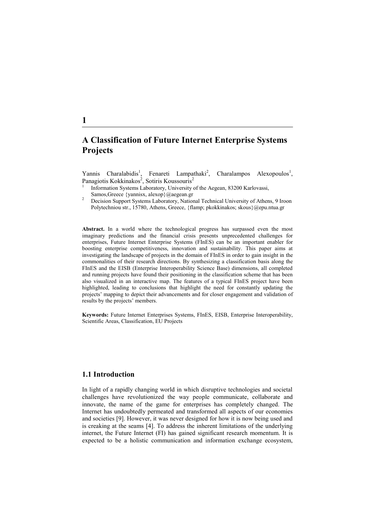# **A Classification of Future Internet Enterprise Systems Projects**

Yannis Charalabidis<sup>1</sup>, Fenareti Lampathaki<sup>2</sup>, Charalampos Alexopoulos<sup>1</sup>, Panagiotis Kokkinakos<sup>2</sup>, Sotiris Koussouris<sup>2</sup>

- Information Systems Laboratory, University of the Aegean, 83200 Karlovassi, Samos,Greece {yannisx, alexop}@aegean.gr
- <sup>2</sup> Decision Support Systems Laboratory, National Technical University of Athens, 9 Iroon Polytechniou str., 15780, Athens, Greece, {flamp; pkokkinakos; skous}@epu.ntua.gr

**Abstract.** In a world where the technological progress has surpassed even the most imaginary predictions and the financial crisis presents unprecedented challenges for enterprises, Future Internet Enterprise Systems (FInES) can be an important enabler for boosting enterprise competitiveness, innovation and sustainability. This paper aims at investigating the landscape of projects in the domain of FInES in order to gain insight in the commonalities of their research directions. By synthesizing a classification basis along the FInES and the EISB (Enterprise Interoperability Science Base) dimensions, all completed and running projects have found their positioning in the classification scheme that has been also visualized in an interactive map. The features of a typical FInES project have been highlighted, leading to conclusions that highlight the need for constantly updating the projects' mapping to depict their advancements and for closer engagement and validation of results by the projects' members.

**Keywords:** Future Internet Enterprises Systems, FInES, EISB, Enterprise Interoperability, Scientific Areas, Classification, EU Projects

## **1.1 Introduction**

In light of a rapidly changing world in which disruptive technologies and societal challenges have revolutionized the way people communicate, collaborate and innovate, the name of the game for enterprises has completely changed. The Internet has undoubtedly permeated and transformed all aspects of our economies and societies [\[9\].](#page-9-0) However, it was never designed for how it is now being used and is creaking at the seams [\[4\].](#page-8-0) To address the inherent limitations of the underlying internet, the Future Internet (FI) has gained significant research momentum. It is expected to be a holistic communication and information exchange ecosystem,

## **1**

1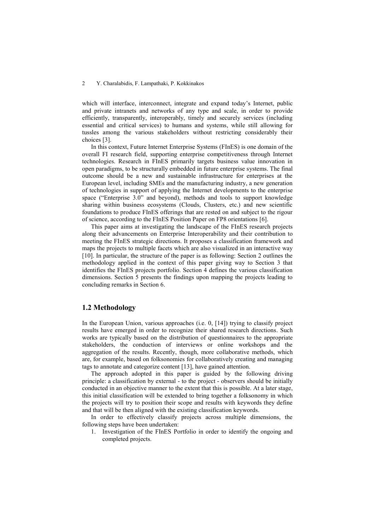which will interface, interconnect, integrate and expand today's Internet, public and private intranets and networks of any type and scale, in order to provide efficiently, transparently, interoperably, timely and securely services (including essential and critical services) to humans and systems, while still allowing for tussles among the various stakeholders without restricting considerably their choices [\[3\].](#page-8-1)

In this context, Future Internet Enterprise Systems (FInES) is one domain of the overall FI research field, supporting enterprise competitiveness through Internet technologies. Research in FInES primarily targets business value innovation in open paradigms, to be structurally embedded in future enterprise systems. The final outcome should be a new and sustainable infrastructure for enterprises at the European level, including SMEs and the manufacturing industry, a new generation of technologies in support of applying the Internet developments to the enterprise space ("Enterprise 3.0" and beyond), methods and tools to support knowledge sharing within business ecosystems (Clouds, Clusters, etc.) and new scientific foundations to produce FInES offerings that are rested on and subject to the rigour of science, according to the FInES Position Paper on FP8 orientations [\[6\].](#page-9-1)

This paper aims at investigating the landscape of the FInES research projects along their advancements on Enterprise Interoperability and their contribution to meeting the FInES strategic directions. It proposes a classification framework and maps the projects to multiple facets which are also visualized in an interactive way [\[10\].](#page-9-2) In particular, the structure of the paper is as following: Section 2 outlines the methodology applied in the context of this paper giving way to Section 3 that identifies the FInES projects portfolio. Section 4 defines the various classification dimensions. Section 5 presents the findings upon mapping the projects leading to concluding remarks in Section 6.

## **1.2 Methodology**

In the European Union, various approaches (i.e. [0,](#page-8-2) [\[14\]\)](#page-9-3) trying to classify project results have emerged in order to recognize their shared research directions. Such works are typically based on the distribution of questionnaires to the appropriate stakeholders, the conduction of interviews or online workshops and the aggregation of the results. Recently, though, more collaborative methods, which are, for example, based on folksonomies for collaboratively creating and managing tags to annotate and categorize content [\[13\],](#page-9-4) have gained attention.

The approach adopted in this paper is guided by the following driving principle: a classification by external - to the project - observers should be initially conducted in an objective manner to the extent that this is possible. At a later stage, this initial classification will be extended to bring together a folksonomy in which the projects will try to position their scope and results with keywords they define and that will be then aligned with the existing classification keywords.

In order to effectively classify projects across multiple dimensions, the following steps have been undertaken:

1. Investigation of the FInES Portfolio in order to identify the ongoing and completed projects.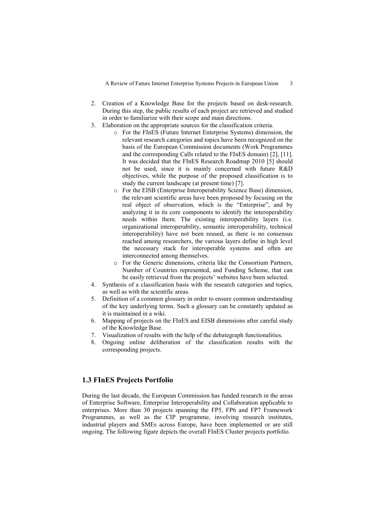- 2. Creation of a Knowledge Base for the projects based on desk-research. During this step, the public results of each project are retrieved and studied in order to familiarize with their scope and main directions.
- 3. Elaboration on the appropriate sources for the classification criteria.
	- o For the FInES (Future Internet Enterprise Systems) dimension, the relevant research categories and topics have been recognized on the basis of the European Commission documents (Work Programmes and the corresponding Calls related to the FInES domain) [\[2\],](#page-8-3) [\[11\].](#page-9-5) It was decided that the FInES Research Roadmap 2010 [\[5\]](#page-9-6) should not be used, since it is mainly concerned with future R&D objectives, while the purpose of the proposed classification is to study the current landscape (at present time) [\[7\].](#page-9-7)
	- o For the EISB (Enterprise Interoperability Science Base) dimension, the relevant scientific areas have been proposed by focusing on the real object of observation, which is the "Enterprise", and by analyzing it in its core components to identify the interoperability needs within them. The existing interoperability layers (i.e. organizational interoperability, semantic interoperability, technical interoperability) have not been reused, as there is no consensus reached among researchers, the various layers define in high level the necessary stack for interoperable systems and often are interconnected among themselves.
	- o For the Generic dimensions, criteria like the Consortium Partners, Number of Countries represented, and Funding Scheme, that can be easily retrieved from the projects' websites have been selected.
- 4. Synthesis of a classification basis with the research categories and topics, as well as with the scientific areas.
- 5. Definition of a common glossary in order to ensure common understanding of the key underlying terms. Such a glossary can be constantly updated as it is maintained in a wiki.
- 6. Mapping of projects on the FInES and EISB dimensions after careful study of the Knowledge Base.
- 7. Visualization of results with the help of the debategraph functionalities.
- 8. Ongoing online deliberation of the classification results with the corresponding projects.

### **1.3 FInES Projects Portfolio**

During the last decade, the European Commission has funded research in the areas of Enterprise Software, Enterprise Interoperability and Collaboration applicable to enterprises. More than 30 projects spanning the FP5, FP6 and FP7 Framework Programmes, as well as the CIP programme, involving research institutes, industrial players and SMEs across Europe, have been implemented or are still ongoing. The following figure depicts the overall FInES Cluster projects portfolio.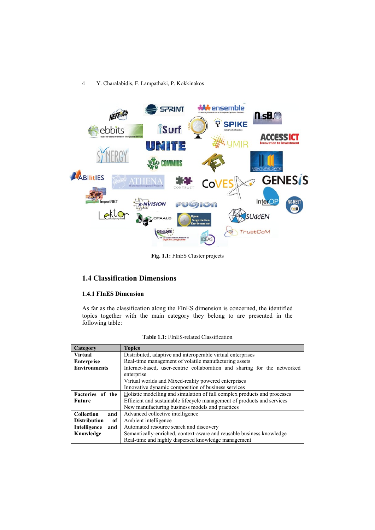

**Fig. 1.1:** FInES Cluster projects

## **1.4 Classification Dimensions**

### **1.4.1 FInES Dimension**

As far as the classification along the FInES dimension is concerned, the identified topics together with the main category they belong to are presented in the following table:

| Category                  | <b>Topics</b>                                                            |  |
|---------------------------|--------------------------------------------------------------------------|--|
| <b>Virtual</b>            | Distributed, adaptive and interoperable virtual enterprises              |  |
| <b>Enterprise</b>         | Real-time management of volatile manufacturing assets                    |  |
| <b>Environments</b>       | Internet-based, user-centric collaboration and sharing for the networked |  |
|                           | enterprise                                                               |  |
|                           | Virtual worlds and Mixed-reality powered enterprises                     |  |
|                           | Innovative dynamic composition of business services                      |  |
| Factories of the          | Holistic modelling and simulation of full complex products and processes |  |
| Future                    | Efficient and sustainable lifecycle management of products and services  |  |
|                           | New manufacturing business models and practices                          |  |
| <b>Collection</b><br>and  | Advanced collective intelligence                                         |  |
| <b>Distribution</b><br>of | Ambient intelligence                                                     |  |
| Intelligence<br>and       | Automated resource search and discovery                                  |  |
| Knowledge                 | Semantically-enriched, context-aware and reusable business knowledge     |  |
|                           | Real-time and highly dispersed knowledge management                      |  |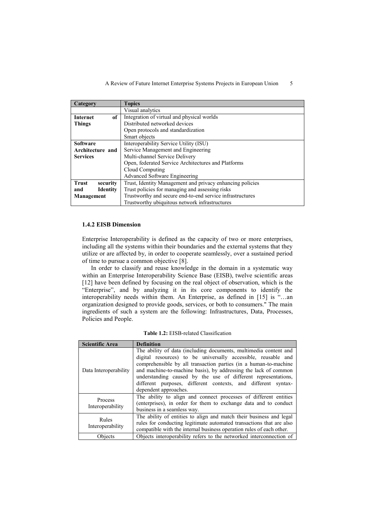A Review of Future Internet Enterprise Systems Projects in European Union 5

| Category                 | <b>Topics</b>                                             |  |
|--------------------------|-----------------------------------------------------------|--|
|                          | Visual analytics                                          |  |
| of<br><b>Internet</b>    | Integration of virtual and physical worlds                |  |
| <b>Things</b>            | Distributed networked devices                             |  |
|                          | Open protocols and standardization                        |  |
|                          | Smart objects                                             |  |
| <b>Software</b>          | Interoperability Service Utility (ISU)                    |  |
| Architecture and         | Service Management and Engineering                        |  |
| <b>Services</b>          | Multi-channel Service Delivery                            |  |
|                          | Open, federated Service Architectures and Platforms       |  |
|                          | Cloud Computing                                           |  |
|                          | <b>Advanced Software Engineering</b>                      |  |
| <b>Trust</b><br>security | Trust, Identity Management and privacy enhancing policies |  |
| <b>Identity</b><br>and   | Trust policies for managing and assessing risks           |  |
| Management               | Trustworthy and secure end-to-end service infrastructures |  |
|                          | Trustworthy ubiquitous network infrastructures            |  |

#### **1.4.2 EISB Dimension**

Enterprise Interoperability is defined as the capacity of two or more enterprises, including all the systems within their boundaries and the external systems that they utilize or are affected by, in order to cooperate seamlessly, over a sustained period of time to pursue a common objective [\[8\].](#page-9-8)

In order to classify and reuse knowledge in the domain in a systematic way within an Enterprise Interoperability Science Base (EISB), twelve scientific areas [\[12\]](#page-9-9) have been defined by focusing on the real object of observation, which is the "Enterprise", and by analyzing it in its core components to identify the interoperability needs within them. An Enterprise, as defined in [\[15\]](#page-9-10) is "…an organization designed to provide goods, services, or both to consumers." The main ingredients of such a system are the following: Infrastructures, Data, Processes, Policies and People.

|                           | <b>Scientific Area</b>      | <b>Definition</b>                                                                                                                                                                                                                                                                                                                                                                                                                   |  |
|---------------------------|-----------------------------|-------------------------------------------------------------------------------------------------------------------------------------------------------------------------------------------------------------------------------------------------------------------------------------------------------------------------------------------------------------------------------------------------------------------------------------|--|
|                           | Data Interoperability       | The ability of data (including documents, multimedia content and<br>digital resources) to be universally accessible, reusable and<br>comprehensible by all transaction parties (in a human-to-machine<br>and machine-to-machine basis), by addressing the lack of common<br>understanding caused by the use of different representations,<br>different purposes, different contexts, and different syntax-<br>dependent approaches. |  |
|                           | Process<br>Interoperability | The ability to align and connect processes of different entities<br>(enterprises), in order for them to exchange data and to conduct<br>business in a seamless way.                                                                                                                                                                                                                                                                 |  |
| Rules<br>Interoperability |                             | The ability of entities to align and match their business and legal<br>rules for conducting legitimate automated transactions that are also<br>compatible with the internal business operation rules of each other.                                                                                                                                                                                                                 |  |
|                           | Objects                     | Objects interoperability refers to the networked interconnection of                                                                                                                                                                                                                                                                                                                                                                 |  |

**Table 1.2:** EISB-related Classification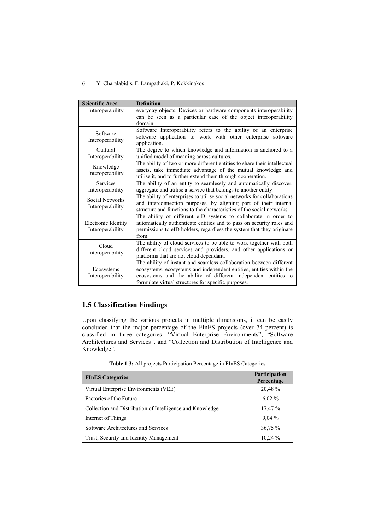| <b>Scientific Area</b>                  | <b>Definition</b>                                                                                                                                  |  |
|-----------------------------------------|----------------------------------------------------------------------------------------------------------------------------------------------------|--|
| Interoperability                        | everyday objects. Devices or hardware components interoperability                                                                                  |  |
|                                         | can be seen as a particular case of the object interoperability                                                                                    |  |
|                                         | domain.                                                                                                                                            |  |
| Software<br>Interoperability            | Software Interoperability refers to the ability of an enterprise<br>application to work with other enterprise software<br>software<br>application. |  |
| Cultural<br>Interoperability            | The degree to which knowledge and information is anchored to a<br>unified model of meaning across cultures.                                        |  |
| Knowledge                               | The ability of two or more different entities to share their intellectual                                                                          |  |
| Interoperability                        | assets, take immediate advantage of the mutual knowledge and                                                                                       |  |
|                                         | utilise it, and to further extend them through cooperation.                                                                                        |  |
| <b>Services</b>                         | The ability of an entity to seamlessly and automatically discover,                                                                                 |  |
| Interoperability                        | aggregate and utilise a service that belongs to another entity.                                                                                    |  |
| Social Networks                         | The ability of enterprises to utilise social networks for collaborations                                                                           |  |
| Interoperability                        | and interconnection purposes, by aligning part of their internal                                                                                   |  |
|                                         | structure and functions to the characteristics of the social networks.                                                                             |  |
|                                         | The ability of different eID systems to collaborate in order to                                                                                    |  |
| Electronic Identity<br>Interoperability | automatically authenticate entities and to pass on security roles and<br>permissions to eID holders, regardless the system that they originate     |  |
|                                         | from                                                                                                                                               |  |
|                                         | The ability of cloud services to be able to work together with both                                                                                |  |
| Cloud                                   | different cloud services and providers, and other applications or                                                                                  |  |
| Interoperability                        | platforms that are not cloud dependant.                                                                                                            |  |
|                                         | The ability of instant and seamless collaboration between different                                                                                |  |
| Ecosystems                              | ecosystems, ecosystems and independent entities, entities within the                                                                               |  |
| Interoperability                        | ecosystems and the ability of different independent entities to                                                                                    |  |
|                                         | formulate virtual structures for specific purposes.                                                                                                |  |

# **1.5 Classification Findings**

Upon classifying the various projects in multiple dimensions, it can be easily concluded that the major percentage of the FInES projects (over 74 percent) is classified in three categories: "Virtual Enterprise Environments", "Software Architectures and Services", and "Collection and Distribution of Intelligence and Knowledge".

| <b>FINES</b> Categories                                   | Participation<br>Percentage |
|-----------------------------------------------------------|-----------------------------|
| Virtual Enterprise Environments (VEE)                     | 20,48 %                     |
| Factories of the Future                                   | $6,02\%$                    |
| Collection and Distribution of Intelligence and Knowledge | 17,47 %                     |
| Internet of Things                                        | 9,04%                       |
| Software Architectures and Services                       | 36,75 %                     |
| Trust, Security and Identity Management                   | 10.24%                      |

**Table 1.3:** All projects Participation Percentage in FInES Categories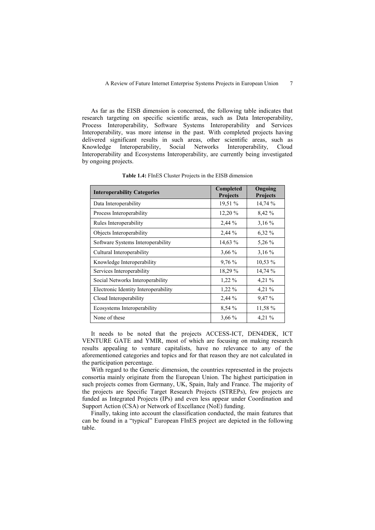As far as the EISB dimension is concerned, the following table indicates that research targeting on specific scientific areas, such as Data Interoperability, Process Interoperability, Software Systems Interoperability and Services Interoperability, was more intense in the past. With completed projects having delivered significant results in such areas, other scientific areas, such as Knowledge Interoperability, Social Networks Interoperability, Cloud Interoperability and Ecosystems Interoperability, are currently being investigated by ongoing projects.

| <b>Interoperability Categories</b>   | Completed<br><b>Projects</b> | Ongoing<br><b>Projects</b> |
|--------------------------------------|------------------------------|----------------------------|
| Data Interoperability                | 19,51 %                      | 14,74 %                    |
| Process Interoperability             | 12,20%                       | 8,42 %                     |
| Rules Interoperability               | $2,44\%$                     | 3,16%                      |
| Objects Interoperability             | 2,44 %                       | 6,32 %                     |
| Software Systems Interoperability    | 14,63 %                      | 5,26 %                     |
| Cultural Interoperability            | $3,66\%$                     | $3.16\%$                   |
| Knowledge Interoperability           | 9,76 %                       | $10,53\%$                  |
| Services Interoperability            | 18,29 %                      | 14,74 %                    |
| Social Networks Interoperability     | $1,22\%$                     | 4,21 $%$                   |
| Electronic Identity Interoperability | $1,22\%$                     | $4,21\%$                   |
| Cloud Interoperability               | 2,44 %                       | 9,47 %                     |
| Ecosystems Interoperability          | 8.54 %                       | 11,58 %                    |
| None of these                        | $3,66\%$                     | 4.21%                      |

**Table 1.4:** FInES Cluster Projects in the EISB dimension

It needs to be noted that the projects ACCESS-ICT, DEN4DEK, ICT VENTURE GATE and YMIR, most of which are focusing on making research results appealing to venture capitalists, have no relevance to any of the aforementioned categories and topics and for that reason they are not calculated in the participation percentage.

With regard to the Generic dimension, the countries represented in the projects consortia mainly originate from the European Union. The highest participation in such projects comes from Germany, UK, Spain, Italy and France. The majority of the projects are Specific Target Research Projects (STREPs), few projects are funded as Integrated Projects (IPs) and even less appear under Coordination and Support Action (CSA) or Network of Excellance (NoE) funding.

Finally, taking into account the classification conducted, the main features that can be found in a "typical" European FInES project are depicted in the following table.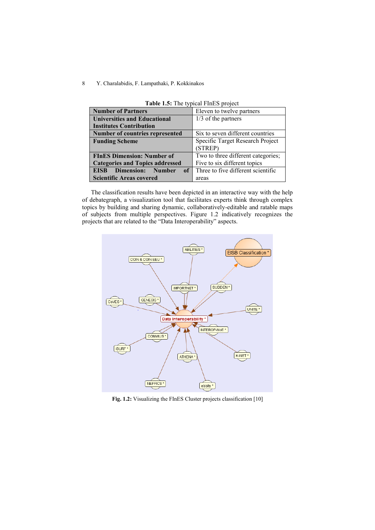| <b>Number of Partners</b>                              | Eleven to twelve partners          |  |
|--------------------------------------------------------|------------------------------------|--|
| <b>Universities and Educational</b>                    | $1/3$ of the partners              |  |
| <b>Institutes Contribution</b>                         |                                    |  |
| <b>Number of countries represented</b>                 | Six to seven different countries   |  |
| <b>Funding Scheme</b>                                  | Specific Target Research Project   |  |
|                                                        | (STREP)                            |  |
| <b>FInES Dimension: Number of</b>                      | Two to three different categories; |  |
| <b>Categories and Topics addressed</b>                 | Five to six different topics       |  |
| Dimension:<br><b>EISB</b><br><sub>of</sub><br>- Number | Three to five different scientific |  |
| <b>Scientific Areas covered</b>                        | areas                              |  |

**Table 1.5:** The typical FInES project

The classification results have been depicted in an interactive way with the help of debategraph, a visualization tool that facilitates experts think through complex topics by building and sharing dynamic, collaboratively-editable and ratable maps of subjects from multiple perspectives. Figure 1.2 indicatively recognizes the projects that are related to the "Data Interoperability" aspects.



**Fig. 1.2:** Visualizing the FInES Cluster projects classification [\[10\]](#page-9-2)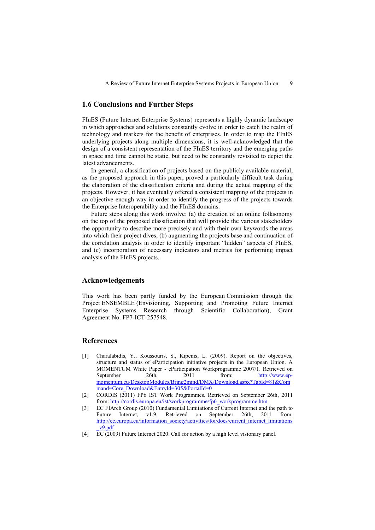### **1.6 Conclusions and Further Steps**

FInES (Future Internet Enterprise Systems) represents a highly dynamic landscape in which approaches and solutions constantly evolve in order to catch the realm of technology and markets for the benefit of enterprises. In order to map the FInES underlying projects along multiple dimensions, it is well-acknowledged that the design of a consistent representation of the FInES territory and the emerging paths in space and time cannot be static, but need to be constantly revisited to depict the latest advancements.

In general, a classification of projects based on the publicly available material, as the proposed approach in this paper, proved a particularly difficult task during the elaboration of the classification criteria and during the actual mapping of the projects. However, it has eventually offered a consistent mapping of the projects in an objective enough way in order to identify the progress of the projects towards the Enterprise Interoperability and the FInES domains.

Future steps along this work involve: (a) the creation of an online folksonomy on the top of the proposed classification that will provide the various stakeholders the opportunity to describe more precisely and with their own keywords the areas into which their project dives, (b) augmenting the projects base and continuation of the correlation analysis in order to identify important "hidden" aspects of FInES, and (c) incorporation of necessary indicators and metrics for performing impact analysis of the FInES projects.

#### **Acknowledgements**

This work has been partly funded by the European Commission through the Project ENSEMBLE (Envisioning, Supporting and Promoting Future Internet Enterprise Systems Research through Scientific Collaboration), Grant Agreement No. FP7-ICT-257548.

### <span id="page-8-2"></span>**References**

- [1] Charalabidis, Y., Koussouris, S., Kipenis, L. (2009). Report on the objectives, structure and status of eParticipation initiative projects in the European Union. A MOMENTUM White Paper - eParticipation Workprogramme 2007/1. Retrieved on September 26th, 2011 from: [http://www.ep](http://www.ep-momentum.eu/DesktopModules/Bring2mind/DMX/Download.aspx?TabId=81&Command=Core_Download&EntryId=305&PortalId=0)[momentum.eu/DesktopModules/Bring2mind/DMX/Download.aspx?TabId=81&Com](http://www.ep-momentum.eu/DesktopModules/Bring2mind/DMX/Download.aspx?TabId=81&Command=Core_Download&EntryId=305&PortalId=0) [mand=Core\\_Download&EntryId=305&PortalId=0](http://www.ep-momentum.eu/DesktopModules/Bring2mind/DMX/Download.aspx?TabId=81&Command=Core_Download&EntryId=305&PortalId=0)
- <span id="page-8-3"></span>[2] CORDIS (2011) FP6 IST Work Programmes. Retrieved on September 26th, 2011 from: [http://cordis.europa.eu/ist/workprogramme/fp6\\_workprogramme.htm](http://cordis.europa.eu/ist/workprogramme/fp6_workprogramme.htm)
- <span id="page-8-1"></span>[3] EC FIArch Group (2010) Fundamental Limitations of Current Internet and the path to Future Internet, v1.9. Retrieved on September 26th, 2011 from: [http://ec.europa.eu/information\\_society/activities/foi/docs/current\\_internet\\_limitations](http://ec.europa.eu/information_society/activities/foi/docs/current_internet_limitations_v9.pdf) [\\_v9.pdf](http://ec.europa.eu/information_society/activities/foi/docs/current_internet_limitations_v9.pdf)
- <span id="page-8-0"></span>[4] EC (2009) Future Internet 2020: Call for action by a high level visionary panel.